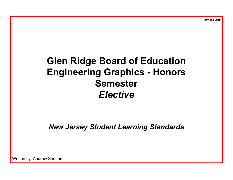**Revised 2019**

## **Glen Ridge Board of Education Engineering Graphics - Honors Semester** *Elective*

*New Jersey Student Learning Standards*

Written by: Andrew Shohen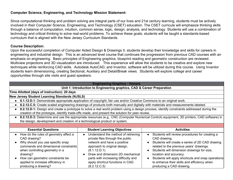## **Computer Science, Engineering, and Technology Mission Statement:**

Since computational thinking and problem solving are integral parts of our lives and 21st century learning, students must be actively involved in their Computer Science, Engineering, and Technology (CSET) education. The CSET curricula will emphasize thinking skills through a balance of computation, intuition, common sense, logic, design, analysis, and technology. Students will use a combination of technology and critical thinking to solve real-world problems. To achieve these goals, students will be taught a standards-based curriculum that is aligned with the New Jersey Curriculum Standards.

## **Course Description:**

Upon the successful completion of Computer Aided Design & Drawings II, students develop their knowledge and skills for careers in engineering and industrial design. This is an advanced level course that continues the progression from previous CAD courses with an emphasis on engineering. Basic principles of Engineering graphics, blueprint reading and geometric construction are reviewed. Multiview projections and 3D visualization are introduced. This experience will allow the students to be creative and explore new techniques while reinforcing CAD skills. Autodesk AutoCAD, and Inventor, software will be utilized during this course. Using Inventor students learn dimensioning, creating Sectional, Auxiliary and Detail/Break views. Students will explore college and career opportunities through site visits and guest speakers.

| <b>Engineering Graphics - Honors</b>                                                                                                                                                                                   |                                                                                                                                                                                                                                                                      |                                                                                                                                                                                                                                                                                        |                                                                                                                                                                                                                                                                                                                                                                       |  |
|------------------------------------------------------------------------------------------------------------------------------------------------------------------------------------------------------------------------|----------------------------------------------------------------------------------------------------------------------------------------------------------------------------------------------------------------------------------------------------------------------|----------------------------------------------------------------------------------------------------------------------------------------------------------------------------------------------------------------------------------------------------------------------------------------|-----------------------------------------------------------------------------------------------------------------------------------------------------------------------------------------------------------------------------------------------------------------------------------------------------------------------------------------------------------------------|--|
|                                                                                                                                                                                                                        |                                                                                                                                                                                                                                                                      | Unit 1: Introduction to Engineering graphics, CAD & Career Preparation                                                                                                                                                                                                                 |                                                                                                                                                                                                                                                                                                                                                                       |  |
|                                                                                                                                                                                                                        | Time Allotted (days of instruction): 20 days                                                                                                                                                                                                                         |                                                                                                                                                                                                                                                                                        |                                                                                                                                                                                                                                                                                                                                                                       |  |
|                                                                                                                                                                                                                        | <b>New Jersey Student Learning Standards (NJSLS)</b>                                                                                                                                                                                                                 |                                                                                                                                                                                                                                                                                        |                                                                                                                                                                                                                                                                                                                                                                       |  |
|                                                                                                                                                                                                                        |                                                                                                                                                                                                                                                                      | 8.1.12.D.1: Demonstrate appropriate application of copyright, fair use and/or Creative Commons to an original work.                                                                                                                                                                    |                                                                                                                                                                                                                                                                                                                                                                       |  |
|                                                                                                                                                                                                                        |                                                                                                                                                                                                                                                                      |                                                                                                                                                                                                                                                                                        | 8.2.12.C.5: Create scaled engineering drawings of products both manually and digitally with materials and measurements labeled.                                                                                                                                                                                                                                       |  |
|                                                                                                                                                                                                                        | 8.2.12.D.1: Design and create a prototype to solve a real world problem using a design process, identify constraints addressed during the<br>creation of the prototype, identify trade-offs made, and present the solution for peer review.                          |                                                                                                                                                                                                                                                                                        |                                                                                                                                                                                                                                                                                                                                                                       |  |
| 8.2.12.D.3: Determine and use the appropriate resources (e.g., CNC (Computer Numerical Control) equipment, 3D printers, CAD software) in<br>the design, development and creation of a technological product or system. |                                                                                                                                                                                                                                                                      |                                                                                                                                                                                                                                                                                        |                                                                                                                                                                                                                                                                                                                                                                       |  |
|                                                                                                                                                                                                                        |                                                                                                                                                                                                                                                                      |                                                                                                                                                                                                                                                                                        |                                                                                                                                                                                                                                                                                                                                                                       |  |
|                                                                                                                                                                                                                        | <b>Essential Questions</b>                                                                                                                                                                                                                                           | <b>Student Learning Objectives</b>                                                                                                                                                                                                                                                     | <b>Activities</b>                                                                                                                                                                                                                                                                                                                                                     |  |
| drawing?                                                                                                                                                                                                               | How do the rules of geometry affect a<br>CAD drawing?<br>Why should you use specific snap<br>commands and dimensional constraints<br>when controlling geometry in a<br>How can geometric constraints be<br>applied to increase efficiency in<br>producing a drawing? | Understand the method of retrieving<br>private files through the public<br>network and have a positive<br>approach to original design.<br>(8.1.12.D.1)<br>Draw and dimension 2D mechanical<br>parts with increasing difficulty and<br>apply shortcut functions in CAD.<br>(8.2.12.C.5) | Students will review procedures for creating a<br>CAD drawing.<br>Students will create a series of 2D CAD drawing<br>related to the previous years' drawings.<br>Students will dimension drawings for size,<br>location and accuracy.<br>Students will apply shortcuts and snap operations<br>to enhance their skills and efficiency when<br>producing a CAD drawing. |  |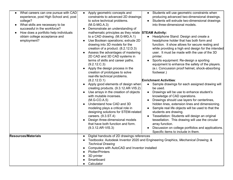| What careers can one pursue with CAD<br>$\bullet$<br>experience, post High School and, post<br>college?<br>What skills are necessary to be<br>successful in the workforce?<br>How does a portfolio help individuals<br>obtain college acceptance and<br>employment? | Students will use geometric constraints when<br>Apply geometric concepts and<br>$\bullet$<br>$\bullet$<br>constraints to advanced 2D drawings<br>producing advanced two-dimensional drawings.<br>Students will extrude two-dimensional drawings<br>to solve technical problems.<br>into three-dimensional models.<br>$(M.G-MG.A.3)$<br>Demonstrate an understanding of<br>mathematic principles as they relate STEAM Activity:<br>to a CAD drawing. (M.G-MG.A.1)<br>Headphone Stand: Design and create a<br>Use Boolean operations; extrude 2D<br>headphone holder that has both form and<br>drawing into 3D models for the<br>function. It show allows for secure resting and<br>creation of a product. (8.2.12.D.3)<br>while providing a high end design for the intended<br>user. It must be made with the use of the 3D<br>Assess the advantages of mastering<br>2D CAD and 3D CAD systems in<br>printer.<br>terms of skills and career paths.<br>Sports equipment: Re-design a sporting<br>(9.2.12.C.3)<br>equipment to enhance the safety of the players.<br>Apply the design process in the<br>(e.i. Concussion proof helmet, shock-absorbing<br>creation of prototypes to solve<br>footwear.)<br>real-life technical problems.<br>(8.2.12.D.1)<br><b>Enrichment Activities:</b><br>Apply good elements of design when<br>Sample drawings for each assigned drawing will<br>creating products. (9.3.12.AR-VIS.2)<br>be used.<br>Use arrays in the creation of objects<br>Drawings will be use to enhance student's<br>$\bullet$<br>with mutable incenses.<br>knowledge of CAD operations.<br>Drawings should use layers for centerlines,<br>$(M.G-CO.A.5)$<br>Understand how CAD and 3D<br>hidden lines, extension lines and dimensioning.<br>Sample real life objects will be used to that the<br>modeling plays a critical role in<br>$\bullet$<br>designing solutions for STEM-related<br>students are drawing.<br>Tessellation: Students will design an original<br>careers. (9.3.ST.4)<br>Design three-dimensional models<br>tessellation. This drawing will use the circular |
|---------------------------------------------------------------------------------------------------------------------------------------------------------------------------------------------------------------------------------------------------------------------|-------------------------------------------------------------------------------------------------------------------------------------------------------------------------------------------------------------------------------------------------------------------------------------------------------------------------------------------------------------------------------------------------------------------------------------------------------------------------------------------------------------------------------------------------------------------------------------------------------------------------------------------------------------------------------------------------------------------------------------------------------------------------------------------------------------------------------------------------------------------------------------------------------------------------------------------------------------------------------------------------------------------------------------------------------------------------------------------------------------------------------------------------------------------------------------------------------------------------------------------------------------------------------------------------------------------------------------------------------------------------------------------------------------------------------------------------------------------------------------------------------------------------------------------------------------------------------------------------------------------------------------------------------------------------------------------------------------------------------------------------------------------------------------------------------------------------------------------------------------------------------------------------------------------------------------------------------------------------------------------------------------------------------------------------------------------------------------------|
|                                                                                                                                                                                                                                                                     | that have both function and form.<br>array function.<br>$(9.3.12.AR-VIS.3)$<br>Discussion on college portfolios and applications.<br>Specific items to include in them.                                                                                                                                                                                                                                                                                                                                                                                                                                                                                                                                                                                                                                                                                                                                                                                                                                                                                                                                                                                                                                                                                                                                                                                                                                                                                                                                                                                                                                                                                                                                                                                                                                                                                                                                                                                                                                                                                                                   |
| <b>Resources/Materials</b>                                                                                                                                                                                                                                          | Digital handouts of 2D drawings references<br>Textbooks: Autodesk Inventor 2020 and Engineering Graphics, Mechanical Drawing, &<br><b>Technical Drawing</b><br>Computers with AutoCAD and Inventor installed<br><b>Plotter/Printers</b><br>3D printer<br>Smartboard<br>Calculator                                                                                                                                                                                                                                                                                                                                                                                                                                                                                                                                                                                                                                                                                                                                                                                                                                                                                                                                                                                                                                                                                                                                                                                                                                                                                                                                                                                                                                                                                                                                                                                                                                                                                                                                                                                                         |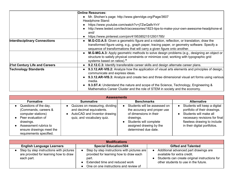|                                      | <b>Online Resources:</b>                                                                                                                                                                                                                                             |
|--------------------------------------|----------------------------------------------------------------------------------------------------------------------------------------------------------------------------------------------------------------------------------------------------------------------|
|                                      | Mr. Shohen's page: http://www.glenridge.org/Page/3607                                                                                                                                                                                                                |
|                                      | Headphone Stand:                                                                                                                                                                                                                                                     |
|                                      | https://www.youtube.com/watch?v=j7ZwQa8vYnY                                                                                                                                                                                                                          |
|                                      | http://www.tested.com/tech/accessories/1823-tips-to-make-your-own-awesome-headphone-st<br>and/                                                                                                                                                                       |
|                                      | https://www.pinterest.com/pin/419538521512931785/                                                                                                                                                                                                                    |
| <b>Interdisciplinary Connections</b> | M.G-CO.A.5: Given a geometric figure and a rotation, reflection, or translation, draw the<br>transformed figure using, e.g., graph paper, tracing paper, or geometry software. Specify a<br>sequence of transformations that will carry a given figure onto another. |
|                                      | M.G-MG.A.3: Apply geometric methods to solve design problems (e.g., designing an object or<br>structure to satisfy physical constraints or minimize cost; working with typographic grid<br>systems based on ratios).*                                                |
| 21st Century Life and Careers        | 9.2.12.C.3: Identify transferable career skills and design alternate career plans.                                                                                                                                                                                   |
| <b>Technology Standards</b>          | 9.3.12.AR-VIS.2: Analyze how the application of visual arts elements and principles of design,<br>communicate and express ideas.<br>9.3.12.AR-VIS.3: Analyze and create two and three-dimensional visual art forms using various                                     |
|                                      | media.                                                                                                                                                                                                                                                               |
|                                      | 9.3.ST.4: Understand the nature and scope of the Science, Technology, Engineering &<br>Mathematics Career Cluster and the role of STEM in society and the economy.                                                                                                   |

| <b>Assessments</b>                                                                                                                                                                     |                                                                                                                          |                                                                                                                                                                                 |                                                                                                                                                                                        |
|----------------------------------------------------------------------------------------------------------------------------------------------------------------------------------------|--------------------------------------------------------------------------------------------------------------------------|---------------------------------------------------------------------------------------------------------------------------------------------------------------------------------|----------------------------------------------------------------------------------------------------------------------------------------------------------------------------------------|
| <b>Formative</b>                                                                                                                                                                       | <b>Summative</b>                                                                                                         | <b>Benchmarks</b>                                                                                                                                                               | <b>Alternative</b>                                                                                                                                                                     |
| Questions of the day.<br>(Commands, careers &<br>computer stations)<br>Peer evaluation of<br>drawings.<br>Assessment rubrics to<br>ensure drawings meet the<br>requirements specified. | Quizzes on measuring, dividing<br>and decimal equivalents.<br>AutoCAD and Inventor drawing<br>quiz, and vocabulary quiz. | Students will be assessed on<br>the accuracy and proper use<br>of dimensions in their<br>drawings.<br>Students will complete<br>assigned drawing by the<br>determined due date. | Students will keep a digital<br>portfolio of their drawings.<br>Students will make all<br>necessary revisions for final<br>flawless drawing to include<br>in their digital portfolios. |

| <b>Modifications</b>                                                                           |                                                                                                                                                                           |                                                                                                                                                               |  |  |
|------------------------------------------------------------------------------------------------|---------------------------------------------------------------------------------------------------------------------------------------------------------------------------|---------------------------------------------------------------------------------------------------------------------------------------------------------------|--|--|
| <b>English Language Learners</b>                                                               | <b>Special Education/504</b>                                                                                                                                              | <b>Gifted and Talented</b>                                                                                                                                    |  |  |
| Step by step instructions with pictures<br>are provided for learning how to draw<br>each part. | Step by step instructions with pictures are<br>provided for learning how to draw each<br>part.<br>Extended time and reduced work<br>One on one instructions and review of | Additional advanced part drawings are<br>available for extra credit.<br>Students can create original instructions for<br>other students to use in the future. |  |  |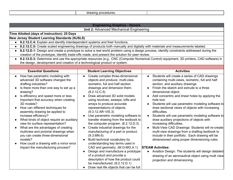| ncedures.<br>winc<br>гm<br>.<br>. . |
|-------------------------------------|
|-------------------------------------|

| <b>Engineering Graphics - Honors</b>                                                                                                                                                                                                                                                                                                                                                                                                                                                                                                                                                                                                                        |                                                                                                                                                                                                                                                                                                                                                                                                                                                                                                                                                                                                                                                                                                                                                                                                                                                               |                                                                                                                                                                                                                                                                                                                                                                                                                                                                                                                                                                                                                                                                                                                                                                                                                                                                                                                                                 |  |  |
|-------------------------------------------------------------------------------------------------------------------------------------------------------------------------------------------------------------------------------------------------------------------------------------------------------------------------------------------------------------------------------------------------------------------------------------------------------------------------------------------------------------------------------------------------------------------------------------------------------------------------------------------------------------|---------------------------------------------------------------------------------------------------------------------------------------------------------------------------------------------------------------------------------------------------------------------------------------------------------------------------------------------------------------------------------------------------------------------------------------------------------------------------------------------------------------------------------------------------------------------------------------------------------------------------------------------------------------------------------------------------------------------------------------------------------------------------------------------------------------------------------------------------------------|-------------------------------------------------------------------------------------------------------------------------------------------------------------------------------------------------------------------------------------------------------------------------------------------------------------------------------------------------------------------------------------------------------------------------------------------------------------------------------------------------------------------------------------------------------------------------------------------------------------------------------------------------------------------------------------------------------------------------------------------------------------------------------------------------------------------------------------------------------------------------------------------------------------------------------------------------|--|--|
| <b>Unit 2: Advanced Mechanical Engineering</b>                                                                                                                                                                                                                                                                                                                                                                                                                                                                                                                                                                                                              |                                                                                                                                                                                                                                                                                                                                                                                                                                                                                                                                                                                                                                                                                                                                                                                                                                                               |                                                                                                                                                                                                                                                                                                                                                                                                                                                                                                                                                                                                                                                                                                                                                                                                                                                                                                                                                 |  |  |
| Time Allotted (days of instruction): 25 Days                                                                                                                                                                                                                                                                                                                                                                                                                                                                                                                                                                                                                |                                                                                                                                                                                                                                                                                                                                                                                                                                                                                                                                                                                                                                                                                                                                                                                                                                                               |                                                                                                                                                                                                                                                                                                                                                                                                                                                                                                                                                                                                                                                                                                                                                                                                                                                                                                                                                 |  |  |
| <b>New Jersey Student Learning Standards (NJSLS)</b>                                                                                                                                                                                                                                                                                                                                                                                                                                                                                                                                                                                                        |                                                                                                                                                                                                                                                                                                                                                                                                                                                                                                                                                                                                                                                                                                                                                                                                                                                               |                                                                                                                                                                                                                                                                                                                                                                                                                                                                                                                                                                                                                                                                                                                                                                                                                                                                                                                                                 |  |  |
| 8.2.12.C.4: Explain and identify interdependent systems and their functions.<br>$\bullet$                                                                                                                                                                                                                                                                                                                                                                                                                                                                                                                                                                   |                                                                                                                                                                                                                                                                                                                                                                                                                                                                                                                                                                                                                                                                                                                                                                                                                                                               |                                                                                                                                                                                                                                                                                                                                                                                                                                                                                                                                                                                                                                                                                                                                                                                                                                                                                                                                                 |  |  |
| $\bullet$                                                                                                                                                                                                                                                                                                                                                                                                                                                                                                                                                                                                                                                   |                                                                                                                                                                                                                                                                                                                                                                                                                                                                                                                                                                                                                                                                                                                                                                                                                                                               | 8.2.12.C.5: Create scaled engineering drawings of products both manually and digitally with materials and measurements labeled.                                                                                                                                                                                                                                                                                                                                                                                                                                                                                                                                                                                                                                                                                                                                                                                                                 |  |  |
|                                                                                                                                                                                                                                                                                                                                                                                                                                                                                                                                                                                                                                                             | creation of the prototype, identify trade-offs made, and present the solution for peer review.                                                                                                                                                                                                                                                                                                                                                                                                                                                                                                                                                                                                                                                                                                                                                                | 8.2.12.D.1: Design and create a prototype to solve a real world problem using a design process, identify constraints addressed during the                                                                                                                                                                                                                                                                                                                                                                                                                                                                                                                                                                                                                                                                                                                                                                                                       |  |  |
| the design, development and creation of a technological product or system.                                                                                                                                                                                                                                                                                                                                                                                                                                                                                                                                                                                  |                                                                                                                                                                                                                                                                                                                                                                                                                                                                                                                                                                                                                                                                                                                                                                                                                                                               | 8.2.12.D.3: Determine and use the appropriate resources (e.g., CNC (Computer Numerical Control) equipment, 3D printers, CAD software) in                                                                                                                                                                                                                                                                                                                                                                                                                                                                                                                                                                                                                                                                                                                                                                                                        |  |  |
|                                                                                                                                                                                                                                                                                                                                                                                                                                                                                                                                                                                                                                                             |                                                                                                                                                                                                                                                                                                                                                                                                                                                                                                                                                                                                                                                                                                                                                                                                                                                               |                                                                                                                                                                                                                                                                                                                                                                                                                                                                                                                                                                                                                                                                                                                                                                                                                                                                                                                                                 |  |  |
| <b>Essential Questions</b>                                                                                                                                                                                                                                                                                                                                                                                                                                                                                                                                                                                                                                  | <b>Student Learning Objectives</b>                                                                                                                                                                                                                                                                                                                                                                                                                                                                                                                                                                                                                                                                                                                                                                                                                            | <b>Activities</b>                                                                                                                                                                                                                                                                                                                                                                                                                                                                                                                                                                                                                                                                                                                                                                                                                                                                                                                               |  |  |
| How has parametric modeling with<br>$\bullet$<br>advanced 3D software changed the<br>drafting industries?<br>Is there more than one way to set up a<br>drawing?<br>Is efficiency and speed more or less<br>important that accuracy when creating<br>3D models?<br>How can different techniques for<br>assembly drawing be applied to<br>increase efficiency?<br>What kinds of object require an auxiliary<br>view for surface representation?<br>What are the advantages of creating<br>multiview and pictorial drawings when<br>you can create three-dimensional<br>models?<br>How could a drawing with a minor error<br>impact the manufacturing process? | Create complex three-dimensional<br>$\bullet$<br>objects and produce, multi-view,<br>isometric, full and half section<br>drawings and dimension them.<br>(8.2.12.C.5)<br>Draw advanced 3D solid models<br>using revolves, sweeps, lofts and<br>arrays to produce accurate<br>representations of objects.<br>$(9.3.12.AR-VIS.3)$<br>Use parametric modeling software to<br>$\bullet$<br>transfer drawing from the textbook to<br>the computer program. $(8.2.12.D.3)$<br>Create industrial drawings for the<br>manufacturing of a part or product.<br>(9.3.MN.6)<br>Build technical vocabulary by<br>understanding key terms used in<br>CAD and geometry. (M.G-MG.A.1)<br>Design and manufacture a prototype<br>of a product and provide a<br>description of how the product could<br>be manufactured. (8.2.12.D.1)<br>Draw real life objects that can be full | Students will create a series of CAD drawings<br>$\bullet$<br>containing multi-views, isometric, full and half<br>section, and auxiliary drawings<br>Finish the sketch and extrude to a three<br>dimensional object.<br>Add concentric and linear holes by applying the<br>hole tool.<br>Students will use parametric modeling software to<br>draw sectional views of objects with increasing<br>difficulties.<br>Students will use parametric modeling software to<br>$\bullet$<br>draw auxiliary projections of objects with<br>increasing difficulties.<br>Multi-View CAD Drawings: Students will re-create<br>multi-view drawings from a drafting textbook to<br>include in their portfolio. Each drawing will be<br>dimensioned using proper dimensioning rules.<br><b>STEAM Activities:</b><br>• Aviation Design: The students will design detailed<br>drawing of an aeronautical object using multi view<br>projection and dimensioning. |  |  |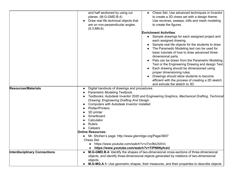|                                      | • Chess Set: Use advanced techniques in Inventor<br>and half sectioned by using cut<br>planes. (M.G-GMD.B.4)<br>to create a 3D chess set with a design theme.<br>Draw real life technical objects that<br>Use revolves, sweeps, lofts and mesh modeling<br>are on non-perpendicular angles.<br>to create the figures.                                                                                                                                         |  |
|--------------------------------------|---------------------------------------------------------------------------------------------------------------------------------------------------------------------------------------------------------------------------------------------------------------------------------------------------------------------------------------------------------------------------------------------------------------------------------------------------------------|--|
|                                      | (9.3.MN.6)<br><b>Enrichment Activities:</b><br>Sample drawings for each assigned project and<br>$\bullet$<br>each assigned drawing.<br>Sample real life objects for the students to draw.                                                                                                                                                                                                                                                                     |  |
|                                      | The Paramedic Modeling text can be used for<br>basic tutorials of how to draw advanced three-<br>dimensional parts.                                                                                                                                                                                                                                                                                                                                           |  |
|                                      | Pats can be drawn from the Parametric Modeling<br>Text or the Engineering Drawing and design Text.<br>Each drawing should be dimensioned using<br>proper dimensioning rules.<br>Drawings should allow students to become<br>efficient with the process of creating a 2D sketch<br>and extrude the sketch to 3D.                                                                                                                                               |  |
| <b>Resources/Materials</b>           | Digital handouts of drawings and procedures.<br>Parametric Modeling Textbook.<br>Textbooks: Autodesk Inventor 2020 and Engineering Graphics, Mechanical Drafting, Technical<br>Drawing: Engineering Drafting And Design.<br>Computers with Autodesk Inventor installed<br><b>Plotter/Printers</b><br>3D printer<br>Smartboard<br>Calculator<br><b>Rulers</b><br>Calipers<br><b>Online Resources:</b><br>Mr. Shohen's page: http://www.glenridge.org/Page/3607 |  |
|                                      | Chess Set:<br>https://www.youtube.com/watch?v=z7xv9bUXAVc<br>https://www.youtube.com/watch?v=TiPN6NyfcsU                                                                                                                                                                                                                                                                                                                                                      |  |
| <b>Interdisciplinary Connections</b> | M.G-GMD.B.4: Identify the shapes of two-dimensional cross-sections of three-dimensional<br>$\bullet$<br>objects, and identify three-dimensional objects generated by rotations of two-dimensional<br>objects.<br>M.G-MG.A.1: Use geometric shapes, their measures, and their properties to describe objects.                                                                                                                                                  |  |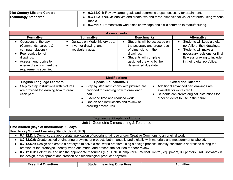| 21st Century Life and Careers | • 9.2.12.C.1: Review career goals and determine steps necessary for attainment.                |
|-------------------------------|------------------------------------------------------------------------------------------------|
| <b>Technology Standards</b>   | • 9.3.12.AR-VIS.3: Analyze and create two and three-dimensional visual art forms using various |
|                               | media.                                                                                         |
|                               | 9.3.MN.6: Demonstrate workplace knowledge and skills common to manufacturing.                  |

| <b>Assessments</b>                                                                                                                                                                     |                                                                             |                                                                                                                                                                                 |                                                                                                                                                                                        |
|----------------------------------------------------------------------------------------------------------------------------------------------------------------------------------------|-----------------------------------------------------------------------------|---------------------------------------------------------------------------------------------------------------------------------------------------------------------------------|----------------------------------------------------------------------------------------------------------------------------------------------------------------------------------------|
| <b>Formative</b>                                                                                                                                                                       | <b>Summative</b>                                                            | <b>Benchmarks</b>                                                                                                                                                               | <b>Alternative</b>                                                                                                                                                                     |
| Questions of the day.<br>(Commands, careers &<br>computer stations)<br>Peer evaluation of<br>drawings.<br>Assessment rubrics to<br>ensure drawings meet the<br>requirements specified. | Quizzes on Model history tree.<br>Inventor drawing, and<br>vocabulary quiz. | Students will be assessed on<br>the accuracy and proper use<br>of dimensions in their<br>drawings.<br>Students will complete<br>assigned drawing by the<br>determined due date. | Students will keep a digital<br>portfolio of their drawings.<br>Students will make all<br>necessary revisions for final<br>flawless drawing to include<br>in their digital portfolios. |

| <b>Modifications</b>                                                                             |                                                                                                                                                                                                                            |                                                                                                                                                               |  |  |
|--------------------------------------------------------------------------------------------------|----------------------------------------------------------------------------------------------------------------------------------------------------------------------------------------------------------------------------|---------------------------------------------------------------------------------------------------------------------------------------------------------------|--|--|
| <b>English Language Learners</b>                                                                 | <b>Special Education/504</b>                                                                                                                                                                                               | <b>Gifted and Talented</b>                                                                                                                                    |  |  |
| Step by step instructions with pictures  <br>are provided for learning how to draw<br>each part. | Step by step instructions with pictures are<br>provided for learning how to draw each<br>part.<br>Extended time and reduced work<br>$\bullet$<br>One on one instructions and review of<br>$\bullet$<br>drawing procedures. | Additional advanced part drawings are<br>available for extra credit.<br>Students can create original instructions for<br>other students to use in the future. |  |  |

| <b>Engineering Graphics - Honors</b>                                                                                                                                                                                                          |  |  |  |  |
|-----------------------------------------------------------------------------------------------------------------------------------------------------------------------------------------------------------------------------------------------|--|--|--|--|
| <b>Unit 3: Geometric Dimensioning &amp; Tolerance</b>                                                                                                                                                                                         |  |  |  |  |
| Time Allotted (days of instruction): 10 days                                                                                                                                                                                                  |  |  |  |  |
| New Jersey Student Learning Standards (NJSLS)                                                                                                                                                                                                 |  |  |  |  |
| 8.1.12.D.1: Demonstrate appropriate application of copyright, fair use and/or Creative Commons to an original work.                                                                                                                           |  |  |  |  |
| 8.2.12.C.5: Create scaled engineering drawings of products both manually and digitally with materials and measurements labeled.                                                                                                               |  |  |  |  |
| • 8.2.12.D.1: Design and create a prototype to solve a real world problem using a design process, identify constraints addressed during the<br>creation of the prototype, identify trade-offs made, and present the solution for peer review. |  |  |  |  |
| • 8.2.12.D.3: Determine and use the appropriate resources (e.g., CNC (Computer Numerical Control) equipment, 3D printers, CAD software) in<br>the design, development and creation of a technological product or system.                      |  |  |  |  |
|                                                                                                                                                                                                                                               |  |  |  |  |
| <b>Student Learning Objectives</b><br><b>Essential Questions</b><br><b>Activities</b>                                                                                                                                                         |  |  |  |  |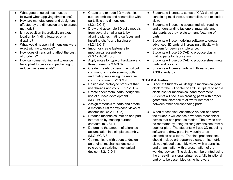- What general guidelines must be followed when applying dimensions?
- How are manufacturers and designers affected by the dimension and tolerance methods?
- Is true position theoretically an exact location for finding features on a drawing?
- What would happen if dimensions were exact with no tolerance?
- How does dimensioning affect the cost of products?
- How can dimensioning and tolerance be applied to cases and packaging to reduce waste materials?
- Create and extrude 3D mechanical sub-assemblies and assemblies with parts lists and dimensions. (8.2.12.C.5)
- Draw and assemble 3D solid models from several smaller parts by aligning planes mating surfaces and inserting shafts and hardware. (8.2.12.C.4)
- Import or create fasteners for mechanical assemblies. (9.3.12.AC-DES.8)
- Apply notes for type of hardware and thread sizes. (9.3.MN.6)
- Create threads by using the coil cut command to create screws, bolts and mating nuts using the reverse coil cut command. (9.3.MN.6)
- Design and prototype products that use threads and coils. (8.2.12.D.3)
- Create sheet metal parts though the use of surface development. (M.G-MG.A.1)
- Assign materials to parts and create a materials list for exploded views of assemblies. (8.2.12.C.5)
- Produce mechanical motion and part interaction by creating surface contacts. (9.3.ST.1)
- Determine the amount of tolerance accumulation in a simple assembly. (M.G-MG.A.3)
- Communicate with peers to design an original mechanical device or re-create an existing mechanical device. (8.2.12.D.1)
- Students will create a series of CAD drawings containing multi-views, assemblies, and exploded views.
- Students will become acquainted with reading and understanding fasteners, materials, and standards as they relate to manufacturing of parts.
- Students will use modeling software to create advanced 3D parts of increasing difficulty with concern for geometric tolerance.
- Students will use 3D CAD to produce plastic mating parts for fabrication.
- Students will use 3D CAD to produce sheet metal parts and layouts.
- Students will create parts with threads using ANSI standards.

## **STEAM Activities:**

- Clock It: Students will design a mechanical gear clock for the 3D printer or a 3D sculpture to add a clock inset or mechanical hand movement. Students will focus on creating parts with proper geometric tolerance to allow for interaction between other corresponding parts.
- Wood Mechanical Assembly: As part of a team the students will choose a wooden mechanical device that can produce motion. The device can be recreated by using existing dimensions from a book or plan. The students will use 3D modeling software to draw parts individually to be assembled as a team. The final presentations should include orthographic views, an Isometric view, exploded assembly views with a parts list and an animation with a presentation of the working device. The device can be printed using the three-dimensional printer as a fully functional part or to be assembled using hardware.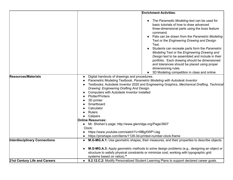|                                      | <b>Enrichment Activities:</b>                                                                                                                                                                                                                                                                                                                                                                                                                                                                                                                                                                                                        |  |
|--------------------------------------|--------------------------------------------------------------------------------------------------------------------------------------------------------------------------------------------------------------------------------------------------------------------------------------------------------------------------------------------------------------------------------------------------------------------------------------------------------------------------------------------------------------------------------------------------------------------------------------------------------------------------------------|--|
|                                      | • The Paramedic Modeling text can be used for<br>basic tutorials of how to draw advanced<br>three-dimensional parts using the boss feature<br>command.<br>Pats can be drawn from the Parametric Modeling<br>Text or the Engineering Drawing and Design<br>Text.<br>Students can recreate parts form the Parametric<br>Modeling Text or the Engineering Drawing and<br>Design text to be assembled and include in their<br>portfolio. Each drawing should be dimensioned<br>and tolerances should be placed using proper<br>dimensioning rules.<br>3D Modeling competition in class and online.                                       |  |
| <b>Resources/Materials</b>           | Digital handouts of drawings and procedures.<br>Parametric Modeling Textbook. Parametric Modeling with Autodesk Inventor<br>Textbooks: Autodesk Inventor 2020 and Engineering Graphics, Mechanical Drafting, Technical<br>Drawing: Engineering Drafting And Design.<br>Computers with Autodesk Inventor installed<br><b>Plotter/Printers</b><br>3D printer<br>Smartboard<br>Calculator<br><b>Rulers</b><br>Calipers<br><b>Online Resources:</b><br>• Mr. Shohen's page: http://www.glenridge.org/Page/3607<br>Clock:<br>https://www.youtube.com/watch?v=I9BgXWP1Jag<br>https://pinshape.com/items/1128-3d-printed-number-clock-frame |  |
| <b>Interdisciplinary Connections</b> | M.G-MG.A.1: Use geometric shapes, their measures, and their properties to describe objects.<br>M.G-MG.A.3: Apply geometric methods to solve design problems (e.g., designing an object or<br>structure to satisfy physical constraints or minimize cost; working with typographic grid<br>systems based on ratios).*                                                                                                                                                                                                                                                                                                                 |  |
| 21st Century Life and Careers        | • 9.2.12.C.2: Modify Personalized Student Learning Plans to support declared career goals.                                                                                                                                                                                                                                                                                                                                                                                                                                                                                                                                           |  |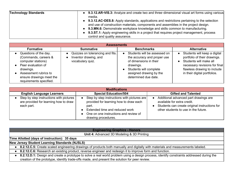| <b>Technology Standards</b> | • 9.3.12.AR-VIS.3: Analyze and create two and three-dimensional visual art forms using various<br>media. |
|-----------------------------|----------------------------------------------------------------------------------------------------------|
|                             | • 9.3.12.AC-DES.8: Apply standards, applications and restrictions pertaining to the selection            |
|                             | and use of construction materials, components and assemblies in the project design.                      |
|                             | • 9.3.MN.6: Demonstrate workplace knowledge and skills common to manufacturing.                          |
|                             | • 9.3.ST.1: Apply engineering skills in a project that requires project management, process              |
|                             | control and quality assurance.                                                                           |

| <b>Assessments</b>                                                                                                                                                                     |                                                                               |                                                                                                                                                                                 |                                                                                                                                                                                        |
|----------------------------------------------------------------------------------------------------------------------------------------------------------------------------------------|-------------------------------------------------------------------------------|---------------------------------------------------------------------------------------------------------------------------------------------------------------------------------|----------------------------------------------------------------------------------------------------------------------------------------------------------------------------------------|
| <b>Formative</b>                                                                                                                                                                       | <b>Summative</b>                                                              | <b>Benchmarks</b>                                                                                                                                                               | <b>Alternative</b>                                                                                                                                                                     |
| Questions of the day.<br>(Commands, careers &<br>computer stations)<br>Peer evaluation of<br>drawings.<br>Assessment rubrics to<br>ensure drawings meet the<br>requirements specified. | Quizzes on tolerancing and fits.<br>Inventor drawing, and<br>vocabulary quiz. | Students will be assessed on<br>the accuracy and proper use<br>of dimensions in their<br>drawings.<br>Students will complete<br>assigned drawing by the<br>determined due date. | Students will keep a digital<br>portfolio of their drawings.<br>Students will make all<br>necessary revisions for final<br>flawless drawing to include<br>in their digital portfolios. |

| <b>Modifications</b>                                                                             |                                                                                                                                                                                                  |                                                                                                                                                               |  |
|--------------------------------------------------------------------------------------------------|--------------------------------------------------------------------------------------------------------------------------------------------------------------------------------------------------|---------------------------------------------------------------------------------------------------------------------------------------------------------------|--|
| <b>English Language Learners</b>                                                                 | <b>Special Education/504</b>                                                                                                                                                                     | <b>Gifted and Talented</b>                                                                                                                                    |  |
| Step by step instructions with pictures  <br>are provided for learning how to draw<br>each part. | Step by step instructions with pictures are<br>provided for learning how to draw each<br>part.<br>Extended time and reduced work<br>One on one instructions and review of<br>drawing procedures. | Additional advanced part drawings are<br>available for extra credit.<br>Students can create original instructions for<br>other students to use in the future. |  |

| <b>Engineering Graphics - Honors</b>                                                                                                      |  |  |  |
|-------------------------------------------------------------------------------------------------------------------------------------------|--|--|--|
| Unit 4: Advanced 3D Modeling & 3D Printing                                                                                                |  |  |  |
| Time Allotted (days of instruction): 35 days                                                                                              |  |  |  |
| New Jersey Student Learning Standards (NJSLS)                                                                                             |  |  |  |
| 8.2.12.C.5: Create scaled engineering drawings of products both manually and digitally with materials and measurements labeled.           |  |  |  |
| 8.2.12.C.6: Research an existing product, reverse engineer and redesign it to improve form and function.                                  |  |  |  |
| 8.2.12.D.1: Design and create a prototype to solve a real world problem using a design process, identify constraints addressed during the |  |  |  |
| creation of the prototype, identify trade-offs made, and present the solution for peer review.                                            |  |  |  |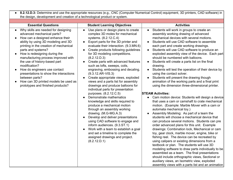| the design, development and creation of a technological product or system.                                                                                                                                                                                                                                                                                                                                                                                                                                                                             |                                                                                                                                                                                                                                                                                                                                                                                                                                                                                                                                                                                                                                                                                                                                                                                                                                                                                                                                                                                                                                                    | • 8.2.12.D.3: Determine and use the appropriate resources (e.g., CNC (Computer Numerical Control) equipment, 3D printers, CAD software) in                                                                                                                                                                                                                                                                                                                                                                                                                                                                                                                                                                                                                                                                                                                                                                                                                                                                                                                                                                                                                                                                                                                                                                                                                                                                                                                                                                                                                                                    |
|--------------------------------------------------------------------------------------------------------------------------------------------------------------------------------------------------------------------------------------------------------------------------------------------------------------------------------------------------------------------------------------------------------------------------------------------------------------------------------------------------------------------------------------------------------|----------------------------------------------------------------------------------------------------------------------------------------------------------------------------------------------------------------------------------------------------------------------------------------------------------------------------------------------------------------------------------------------------------------------------------------------------------------------------------------------------------------------------------------------------------------------------------------------------------------------------------------------------------------------------------------------------------------------------------------------------------------------------------------------------------------------------------------------------------------------------------------------------------------------------------------------------------------------------------------------------------------------------------------------------|-----------------------------------------------------------------------------------------------------------------------------------------------------------------------------------------------------------------------------------------------------------------------------------------------------------------------------------------------------------------------------------------------------------------------------------------------------------------------------------------------------------------------------------------------------------------------------------------------------------------------------------------------------------------------------------------------------------------------------------------------------------------------------------------------------------------------------------------------------------------------------------------------------------------------------------------------------------------------------------------------------------------------------------------------------------------------------------------------------------------------------------------------------------------------------------------------------------------------------------------------------------------------------------------------------------------------------------------------------------------------------------------------------------------------------------------------------------------------------------------------------------------------------------------------------------------------------------------------|
|                                                                                                                                                                                                                                                                                                                                                                                                                                                                                                                                                        |                                                                                                                                                                                                                                                                                                                                                                                                                                                                                                                                                                                                                                                                                                                                                                                                                                                                                                                                                                                                                                                    |                                                                                                                                                                                                                                                                                                                                                                                                                                                                                                                                                                                                                                                                                                                                                                                                                                                                                                                                                                                                                                                                                                                                                                                                                                                                                                                                                                                                                                                                                                                                                                                               |
| <b>Essential Questions</b>                                                                                                                                                                                                                                                                                                                                                                                                                                                                                                                             | <b>Student Learning Objectives</b>                                                                                                                                                                                                                                                                                                                                                                                                                                                                                                                                                                                                                                                                                                                                                                                                                                                                                                                                                                                                                 | <b>Activities</b>                                                                                                                                                                                                                                                                                                                                                                                                                                                                                                                                                                                                                                                                                                                                                                                                                                                                                                                                                                                                                                                                                                                                                                                                                                                                                                                                                                                                                                                                                                                                                                             |
| Why skills are needed for designing<br>$\bullet$<br>advanced mechanical parts?<br>How can a designed enhance their<br>ability by using 3D modeling and 3D<br>printing in the creation of mechanical<br>parts and systems?<br>How is redesigning during the<br>$\bullet$<br>manufacturing process improved with<br>the use of history-based part<br>modification?<br>How do engineers use contact<br>$\bullet$<br>presentations to show the interactions<br>between parts?<br>How can 3D printed models be used as<br>prototypes and finished products? | Use plans or design plans to create<br>$\bullet$<br>complex 3D moles for mechanical<br>systems. (8.2.12.C.4)<br>Export parts for the 3D printer and<br>$\bullet$<br>evaluate their interaction. (9.3.MN.6)<br>Create products following guidelines<br>for 3D modeling competitions.<br>(8.2.12.D.3)<br>Create parts with advanced features<br>$\bullet$<br>such as lofts, sweeps, coils,<br>engraving, embossing and decaling.<br>$(9.3.12.AR-VIS.3)$<br>Create appropriate views, exploded<br>$\bullet$<br>views and a parts list for assembly<br>drawings and produce balloons for<br>individual parts for presentation<br>purposes. (8.2.12.C.5)<br>Demonstrate mathematics<br>knowledge and skills required to<br>produce a mechanical motion<br>through an assembly working<br>drawing. (M.G-MG.A.3)<br>Develop and deliver presentations<br>using CAD software to engage and<br>inform audiences. (9.3.ST.1)<br>Work with a team to establish a goal<br>and set a timeline to complete the<br>assigned drawings and project.<br>(8.2.12.D.1) | Students will work in groups to create an<br>assembly working drawing of advanced<br>mechanical devices with several motions.<br>Students will use CAD software to assemble<br>each part and create working drawings.<br>Students will use CAD software to produce an<br>exploded assembly view of the device. Each part<br>should be numbered with balloons.<br>Students will create a parts list on the final<br>drawing.<br>Students will test the operation of their device by<br>using the contact solver.<br>Students will present the drawing though<br>animation of the working parts and a final print<br>using the dimension three-dimensional printer.<br><b>STEAM Activities:</b><br>Cam motion device: Students will design a device<br>that uses a cam or camshaft to crate mechanical<br>motion. (Example: Marble Mover with a cam or<br>automata mechanical toy.)<br>Assembly Modeling: As part of a team the<br>students will choose a mechanical device that<br>can produce several motions. Students can pre<br>order advanced plans for this unit. Example<br>drawings: Combination lock, Mechanical or cam<br>toy, gear clock, marble mover, engine, bike or<br>fishing reel. The device can be recreated by<br>using calipers or existing dimensions from a<br>textbook or plan. The students will use 3D<br>modeling software to draw parts individually to be<br>assembled as a team. The final presentations<br>should include orthographic views, Sectional or<br>auxiliary views, an Isometric view, exploded<br>assembly views with a parts list and an animation |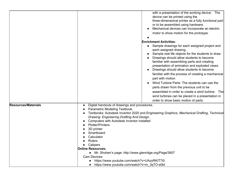|                            | with a presentation of the working device. The                                                                              |  |  |
|----------------------------|-----------------------------------------------------------------------------------------------------------------------------|--|--|
|                            | device can be printed using the                                                                                             |  |  |
|                            | three-dimensional printer as a fully functional part                                                                        |  |  |
|                            | or to be assembled using hardware.                                                                                          |  |  |
|                            | Mechanical devices can incorporate an electric                                                                              |  |  |
|                            | motor to show motion for the prototype.                                                                                     |  |  |
|                            |                                                                                                                             |  |  |
|                            | <b>Enrichment Activities:</b>                                                                                               |  |  |
|                            |                                                                                                                             |  |  |
|                            | Sample drawings for each assigned project and<br>each assigned drawing.                                                     |  |  |
|                            | Sample real life objects for the students to draw.                                                                          |  |  |
|                            | Drawings should allow students to become                                                                                    |  |  |
|                            | familiar with assembling parts and creating                                                                                 |  |  |
|                            | presentation of animation and exploded views.                                                                               |  |  |
|                            | Drawings should allow students to become                                                                                    |  |  |
|                            | familiar with the process of creating a mechanical                                                                          |  |  |
|                            | part with motion                                                                                                            |  |  |
|                            | Wind Turbine Parts: The students can use the                                                                                |  |  |
|                            | parts drawn from the previous unit to be                                                                                    |  |  |
|                            | assembled in order to create a wind turbine. The                                                                            |  |  |
|                            | wind turbines can be placed in a presentation in                                                                            |  |  |
|                            | order to show basic motion of parts.                                                                                        |  |  |
| <b>Resources/Materials</b> |                                                                                                                             |  |  |
|                            | Digital handouts of drawings and procedures.                                                                                |  |  |
|                            | Parametric Modeling Textbook.<br>Textbooks: Autodesk Inventor 2020 and Engineering Graphics, Mechanical Drafting, Technical |  |  |
|                            | Drawing: Engineering Drafting And Design.                                                                                   |  |  |
|                            | Computers with Autodesk Inventor installed                                                                                  |  |  |
|                            | <b>Plotter/Printers</b>                                                                                                     |  |  |
|                            | 3D printer                                                                                                                  |  |  |
|                            | Smartboard                                                                                                                  |  |  |
|                            | Calculator                                                                                                                  |  |  |
|                            | <b>Rulers</b>                                                                                                               |  |  |
|                            | Calipers                                                                                                                    |  |  |
|                            | <b>Online Resources:</b>                                                                                                    |  |  |
|                            | • Mr. Shohen's page: http://www.glenridge.org/Page/3607                                                                     |  |  |
|                            | Cam Devices:                                                                                                                |  |  |
|                            | https://www.youtube.com/watch?v=UAzyRKIT7I0                                                                                 |  |  |
|                            | https://www.youtube.com/watch?v=m_3qTO-e0bl                                                                                 |  |  |